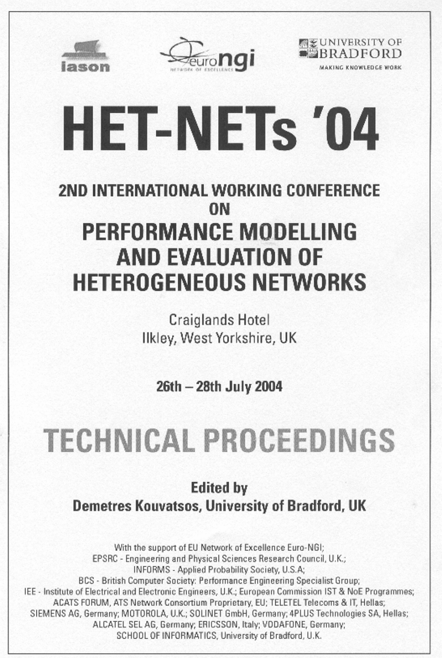





MAKING KNOWLEDGE WORK

# **HET-NETs '04**

## 2ND INTERNATIONAL WORKING CONFERENCE 0N **PERFORMANCE MODELLING AND EVALUATION OF HETEROGENEOUS NETWORKS**

**Craiglands Hotel** Ilkley, West Yorkshire, UK

26th - 28th July 2004

# **TECHNICAL PROCEEDINGS**

### **Edited by Demetres Kouvatsos, University of Bradford, UK**

With the support of EU Network of Excellence Euro-NGI: EPSRC - Engineering and Physical Sciences Research Council, U.K.; INFORMS - Applied Probability Society, U.S.A; BCS - British Computer Society: Performance Engineering Specialist Group; IEE - Institute of Electrical and Electronic Engineers, U.K.; European Commission IST & NoE Programmes; ACATS FORUM, ATS Network Consortium Proprietary, EU; TELETEL Telecoms & IT, Hellas; SIEMENS AG, Germany: MOTOROLA, U.K.; SOLINET GmbH, Germany: 4PLUS Technologies SA, Hellas; ALCATEL SEL AG, Germany; ERICSSON, Italy; VODAFONE, Germany; SCHOOL OF INFORMATICS, University of Bradford, U.K.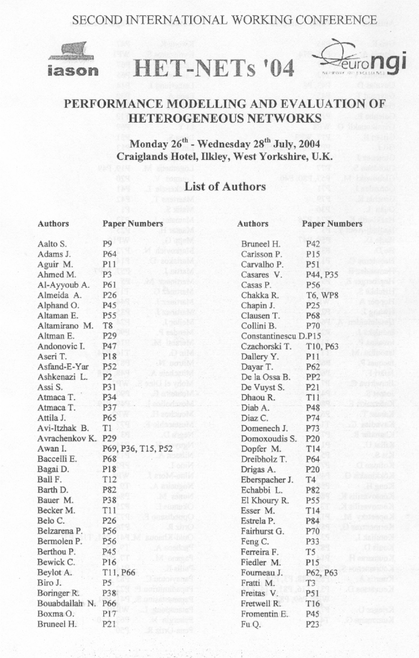#### SECOND INTERNATIONAL WORKING CONFERENCE



# HET-NETs'04



#### PERFORMANCE MODELLING AND EVALUATION OF **HETEROGENEOUS NETWORKS**

Monday 26<sup>th</sup> - Wednesday 28<sup>th</sup> July, 2004<br>Craiglands Hotel, Ilkley, West Yorkshire, U.K.

#### **List of Authors**

| Authors        | <b>Paper Numbers</b>       | Authors              | <b>Paper Numbers</b> |  |
|----------------|----------------------------|----------------------|----------------------|--|
| Aalto S.       | P9                         | Bruneel H.           | P42                  |  |
| Adams J.       | konimatič<br>P64           | Carlsson P.          | P15                  |  |
| Aguir M.       | shinalla<br>P11            | Carvalho P.          | <b>P51</b>           |  |
| Ahmed M.       | SWITCH<br>P <sub>3</sub>   | Casares V.           | P44, P35             |  |
| Al-Ayyoub A.   | P61                        | Casas P.             | P56                  |  |
| Almeida A.     | P <sub>26</sub>            | Chakka R.            | T6, WP8              |  |
| Alphand O.     | P45                        | Chapin J.            | P25                  |  |
| Altaman E.     | Gebra 326<br>P55           | Clausen T.           | P68                  |  |
| Altamirano M.  | $1 - 10000$<br>T8          | Collini B.           | P70                  |  |
| Altman E.      | esbriski<br>P29            | Constantinescu D.P15 |                      |  |
| Andonovic I.   | baig is W<br>P47           | Czachorski T.        | T10, P63             |  |
| Aseri T.       | .Dan<br>P18                | Dallery Y.           | P11                  |  |
| Asfand-E-Yar   | BOTH M<br>P52              | Dayar T.             | P62                  |  |
| Ashkenazi L.   | P <sub>2</sub>             | De la Ossa B.        | PP <sub>2</sub>      |  |
| Assi S.        | 45633<br>P31               | De Vuyst S.          | P21                  |  |
| Atmaca T.      | 9380<br>P34                | Dhaou R.             | T11                  |  |
| Atmaca T.      | P37                        | Diab A.              | P48                  |  |
| Attila J.      | niandi<br>P65              | Diaz C.              | P74                  |  |
| Avi-Itzhak B.  | sebaské<br>T1              | Domenech J.          | P73                  |  |
| Avrachenkov K. | P29                        | Domoxoudis S.        | P20                  |  |
| Awan I.        | P69, P36, T15, P52         | Dopfer M.            | T14                  |  |
| Baccelli E.    | P68                        | Dreibholz T.         | P64                  |  |
| Bagai D.       | P18                        | Drigas A.            | P20                  |  |
| Ball F.        | Anti M<br>T12              | Eberspacher J.       | T <sub>4</sub>       |  |
| Barth D.       | 0003070<br>P82             | Echabbi L.           | P82                  |  |
| Bauer M.       | M awaid<br>P38             | El Khoury R.         | P55                  |  |
| Becker M.      | 1-umb30<br>T11             | Esser M.             | T14                  |  |
| Belo C.        | sebergO<br>P <sub>26</sub> | Estrela P.           | P84                  |  |
| Belzarena P.   | <b>SERO</b><br>P56         | Fairhurst G.         | P70                  |  |
| Bermolen P.    | P56                        | Feng C.              | P33                  |  |
| Berthou P.     | P45                        | Ferreira F.          | T5                   |  |
| Bewick C.      | onan ch<br>P16             | Fiedler M.           | P15                  |  |
| Beylot A.      | T11, P66                   | Fourneau J.          | P62, P63             |  |
| Biro J.        | P5                         | Fratti M.            | T3                   |  |
| Boringer R.    | P38                        | Freitas V.           | P51                  |  |
| Bouabdallah N. | P66                        | Fretwell R.          | T16                  |  |
| Boxma O.       | der S<br>P17               | Fromentin E.         | P45                  |  |
| Bruneel H.     | P21                        | $F_{II}$ $O$         | P <sub>23</sub>      |  |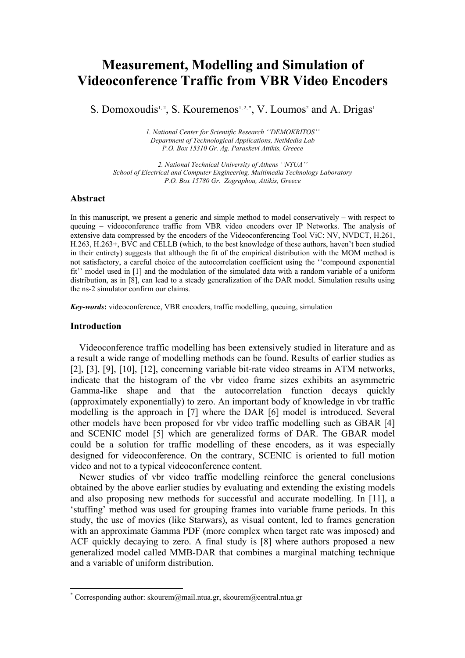#### **Measurement, Modelling and Simulation of Videoconference Traffic from VBR Video Encoders**

S. Domoxoudis<sup>1,2</sup>, S. Kouremenos<sup>1,2,\*</sup>, V. Loumos<sup>2</sup> and A. Drigas<sup>1</sup>

*1. National Center for Scientific Research ''DEMOKRITOS'' Department of Technological Applications, NetMedia Lab P.O. Box 15310 Gr. Ag. Paraskevi Attikis, Greece* 

*2. National Technical University of Athens ''NTUA'' School of Electrical and Computer Engineering, Multimedia Technology Laboratory P.O. Box 15780 Gr. Zographou, Attikis, Greece* 

#### **Abstract**

In this manuscript, we present a generic and simple method to model conservatively – with respect to queuing – videoconference traffic from VBR video encoders over IP Networks. The analysis of extensive data compressed by the encoders of the Videoconferencing Tool ViC: NV, NVDCT, H.261, H.263, H.263+, BVC and CELLB (which, to the best knowledge of these authors, haven't been studied in their entirety) suggests that although the fit of the empirical distribution with the MOM method is not satisfactory, a careful choice of the autocorrelation coefficient using the ''compound exponential fit'' model used in [1] and the modulation of the simulated data with a random variable of a uniform distribution, as in [8], can lead to a steady generalization of the DAR model. Simulation results using the ns-2 simulator confirm our claims.

*Key-words***:** videoconference, VBR encoders, traffic modelling, queuing, simulation

#### **Introduction**

 $\overline{a}$ 

Videoconference traffic modelling has been extensively studied in literature and as a result a wide range of modelling methods can be found. Results of earlier studies as [2], [3], [9], [10], [12], concerning variable bit-rate video streams in ATM networks, indicate that the histogram of the vbr video frame sizes exhibits an asymmetric Gamma-like shape and that the autocorrelation function decays quickly (approximately exponentially) to zero. An important body of knowledge in vbr traffic modelling is the approach in [7] where the DAR [6] model is introduced. Several other models have been proposed for vbr video traffic modelling such as GBAR [4] and SCENIC model [5] which are generalized forms of DAR. The GBAR model could be a solution for traffic modelling of these encoders, as it was especially designed for videoconference. On the contrary, SCENIC is oriented to full motion video and not to a typical videoconference content.

Newer studies of vbr video traffic modelling reinforce the general conclusions obtained by the above earlier studies by evaluating and extending the existing models and also proposing new methods for successful and accurate modelling. In [11], a 'stuffing' method was used for grouping frames into variable frame periods. In this study, the use of movies (like Starwars), as visual content, led to frames generation with an approximate Gamma PDF (more complex when target rate was imposed) and ACF quickly decaying to zero. A final study is [8] where authors proposed a new generalized model called MMB-DAR that combines a marginal matching technique and a variable of uniform distribution.

<sup>\*</sup> Corresponding author: skourem@mail.ntua.gr, skourem@central.ntua.gr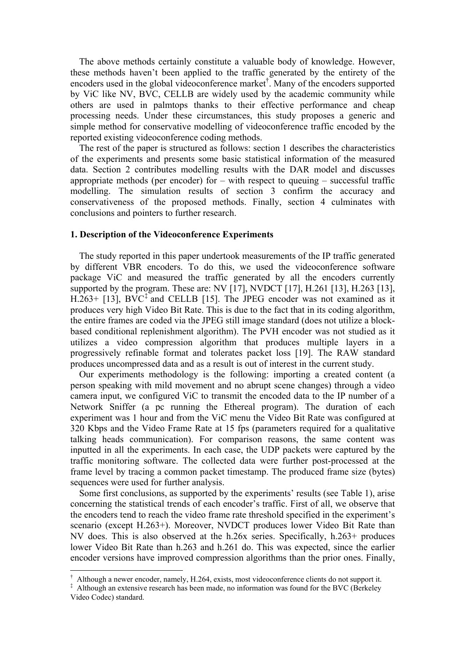The above methods certainly constitute a valuable body of knowledge. However, these methods haven't been applied to the traffic generated by the entirety of the encoders used in the global videoconference market† . Many of the encoders supported by ViC like NV, BVC, CELLB are widely used by the academic community while others are used in palmtops thanks to their effective performance and cheap processing needs. Under these circumstances, this study proposes a generic and simple method for conservative modelling of videoconference traffic encoded by the reported existing videoconference coding methods.

The rest of the paper is structured as follows: section 1 describes the characteristics of the experiments and presents some basic statistical information of the measured data. Section 2 contributes modelling results with the DAR model and discusses appropriate methods (per encoder) for  $-$  with respect to queuing  $-$  successful traffic modelling. The simulation results of section 3 confirm the accuracy and conservativeness of the proposed methods. Finally, section 4 culminates with conclusions and pointers to further research.

#### **1. Description of the Videoconference Experiments**

The study reported in this paper undertook measurements of the IP traffic generated by different VBR encoders. To do this, we used the videoconference software package ViC and measured the traffic generated by all the encoders currently supported by the program. These are: NV [17], NVDCT [17], H.261 [13], H.263 [13],  $H.263+$  [13], BVC<sup>‡</sup> and CELLB [15]. The JPEG encoder was not examined as it produces very high Video Bit Rate. This is due to the fact that in its coding algorithm, the entire frames are coded via the JPEG still image standard (does not utilize a blockbased conditional replenishment algorithm). The PVH encoder was not studied as it utilizes a video compression algorithm that produces multiple layers in a progressively refinable format and tolerates packet loss [19]. The RAW standard produces uncompressed data and as a result is out of interest in the current study.

Our experiments methodology is the following: importing a created content (a person speaking with mild movement and no abrupt scene changes) through a video camera input, we configured ViC to transmit the encoded data to the IP number of a Network Sniffer (a pc running the Ethereal program). The duration of each experiment was 1 hour and from the ViC menu the Video Bit Rate was configured at 320 Kbps and the Video Frame Rate at 15 fps (parameters required for a qualitative talking heads communication). For comparison reasons, the same content was inputted in all the experiments. In each case, the UDP packets were captured by the traffic monitoring software. The collected data were further post-processed at the frame level by tracing a common packet timestamp. The produced frame size (bytes) sequences were used for further analysis.

Some first conclusions, as supported by the experiments' results (see Table 1), arise concerning the statistical trends of each encoder's traffic. First of all, we observe that the encoders tend to reach the video frame rate threshold specified in the experiment's scenario (except H.263+). Moreover, NVDCT produces lower Video Bit Rate than NV does. This is also observed at the h.26x series. Specifically, h.263+ produces lower Video Bit Rate than h.263 and h.261 do. This was expected, since the earlier encoder versions have improved compression algorithms than the prior ones. Finally,

 $\overline{a}$ 

<sup>†</sup> Although a newer encoder, namely, H.264, exists, most videoconference clients do not support it.

<sup>&</sup>lt;sup>‡</sup> Although an extensive research has been made, no information was found for the BVC (Berkeley Video Codec) standard.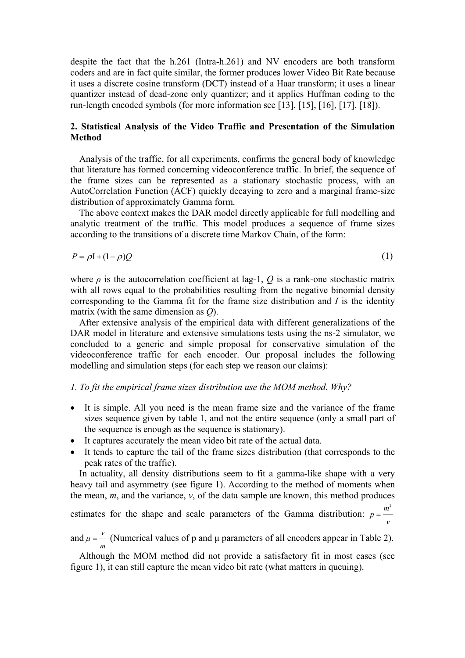despite the fact that the h.261 (Intra-h.261) and NV encoders are both transform coders and are in fact quite similar, the former produces lower Video Bit Rate because it uses a discrete cosine transform (DCT) instead of a Haar transform; it uses a linear quantizer instead of dead-zone only quantizer; and it applies Huffman coding to the run-length encoded symbols (for more information see [13], [15], [16], [17], [18]).

#### **2. Statistical Analysis of the Video Traffic and Presentation of the Simulation Method**

Analysis of the traffic, for all experiments, confirms the general body of knowledge that literature has formed concerning videoconference traffic. In brief, the sequence of the frame sizes can be represented as a stationary stochastic process, with an AutoCorrelation Function (ACF) quickly decaying to zero and a marginal frame-size distribution of approximately Gamma form.

The above context makes the DAR model directly applicable for full modelling and analytic treatment of the traffic. This model produces a sequence of frame sizes according to the transitions of a discrete time Markov Chain, of the form:

$$
P = \rho I + (1 - \rho)Q \tag{1}
$$

where  $\rho$  is the autocorrelation coefficient at lag-1,  $\dot{\rho}$  is a rank-one stochastic matrix with all rows equal to the probabilities resulting from the negative binomial density corresponding to the Gamma fit for the frame size distribution and *I* is the identity matrix (with the same dimension as *Q*).

After extensive analysis of the empirical data with different generalizations of the DAR model in literature and extensive simulations tests using the ns-2 simulator, we concluded to a generic and simple proposal for conservative simulation of the videoconference traffic for each encoder. Our proposal includes the following modelling and simulation steps (for each step we reason our claims):

#### *1. To fit the empirical frame sizes distribution use the MOM method. Why?*

- It is simple. All you need is the mean frame size and the variance of the frame sizes sequence given by table 1, and not the entire sequence (only a small part of the sequence is enough as the sequence is stationary).
- It captures accurately the mean video bit rate of the actual data.
- It tends to capture the tail of the frame sizes distribution (that corresponds to the peak rates of the traffic).

In actuality, all density distributions seem to fit a gamma-like shape with a very heavy tail and asymmetry (see figure 1). According to the method of moments when the mean,  $m$ , and the variance,  $v$ , of the data sample are known, this method produces

estimates for the shape and scale parameters of the Gamma distribution:  $p = \frac{m^2}{v}$ 

and  $\mu = \frac{v}{c}$ *m*  $\mu =$  (Numerical values of p and  $\mu$  parameters of all encoders appear in Table 2).

Although the MOM method did not provide a satisfactory fit in most cases (see figure 1), it can still capture the mean video bit rate (what matters in queuing).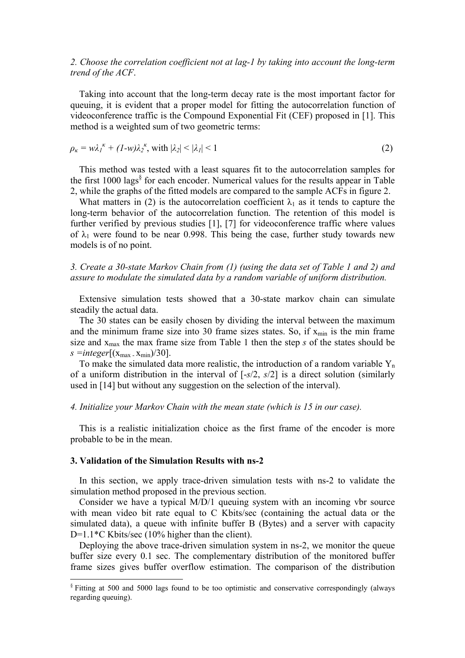*2. Choose the correlation coefficient not at lag-1 by taking into account the long-term trend of the ACF*.

Taking into account that the long-term decay rate is the most important factor for queuing, it is evident that a proper model for fitting the autocorrelation function of videoconference traffic is the Compound Exponential Fit (CEF) proposed in [1]. This method is a weighted sum of two geometric terms:

$$
\rho_{\kappa} = w\lambda_1^{\kappa} + (1-w)\lambda_2^{\kappa}, \text{ with } |\lambda_2| < |\lambda_1| < 1 \tag{2}
$$

This method was tested with a least squares fit to the autocorrelation samples for the first 1000 lags§ for each encoder. Numerical values for the results appear in Table 2, while the graphs of the fitted models are compared to the sample ACFs in figure 2.

What matters in (2) is the autocorrelation coefficient  $\lambda_1$  as it tends to capture the long-term behavior of the autocorrelation function. The retention of this model is further verified by previous studies [1], [7] for videoconference traffic where values of  $\lambda_1$  were found to be near 0.998. This being the case, further study towards new models is of no point.

*3. Create a 30-state Markov Chain from (1) (using the data set of Table 1 and 2) and assure to modulate the simulated data by a random variable of uniform distribution.* 

Extensive simulation tests showed that a 30-state markov chain can simulate steadily the actual data.

The 30 states can be easily chosen by dividing the interval between the maximum and the minimum frame size into 30 frame sizes states. So, if  $x_{min}$  is the min frame size and  $x_{max}$  the max frame size from Table 1 then the step  $s$  of the states should be  $s = integer[(x_{max} \cdot x_{min})/30].$ 

To make the simulated data more realistic, the introduction of a random variable  $Y_n$ of a uniform distribution in the interval of [-*s*/2, *s*/2] is a direct solution (similarly used in [14] but without any suggestion on the selection of the interval).

#### *4. Initialize your Markov Chain with the mean state (which is 15 in our case).*

This is a realistic initialization choice as the first frame of the encoder is more probable to be in the mean.

#### **3. Validation of the Simulation Results with ns-2**

 $\overline{a}$ 

In this section, we apply trace-driven simulation tests with ns-2 to validate the simulation method proposed in the previous section.

Consider we have a typical M/D/1 queuing system with an incoming vbr source with mean video bit rate equal to C Kbits/sec (containing the actual data or the simulated data), a queue with infinite buffer B (Bytes) and a server with capacity D=1.1<sup>\*</sup>C Kbits/sec (10% higher than the client).

Deploying the above trace-driven simulation system in ns-2, we monitor the queue buffer size every 0.1 sec. The complementary distribution of the monitored buffer frame sizes gives buffer overflow estimation. The comparison of the distribution

<sup>&</sup>lt;sup>§</sup> Fitting at 500 and 5000 lags found to be too optimistic and conservative correspondingly (always regarding queuing).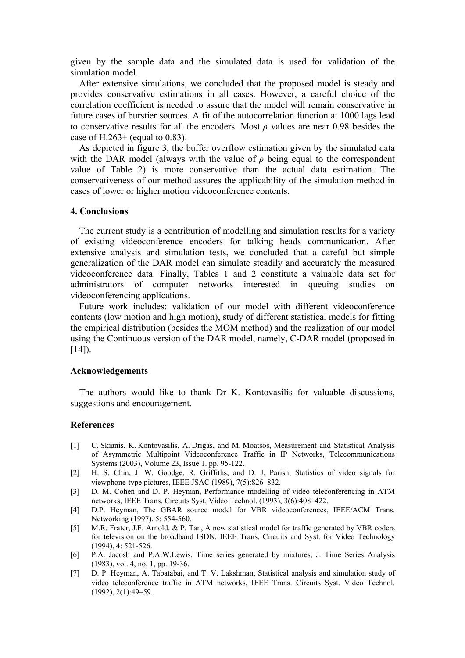given by the sample data and the simulated data is used for validation of the simulation model.

After extensive simulations, we concluded that the proposed model is steady and provides conservative estimations in all cases. However, a careful choice of the correlation coefficient is needed to assure that the model will remain conservative in future cases of burstier sources. A fit of the autocorrelation function at 1000 lags lead to conservative results for all the encoders. Most *ρ* values are near 0.98 besides the case of H.263+ (equal to 0.83).

As depicted in figure 3, the buffer overflow estimation given by the simulated data with the DAR model (always with the value of  $\rho$  being equal to the correspondent value of Table 2) is more conservative than the actual data estimation. The conservativeness of our method assures the applicability of the simulation method in cases of lower or higher motion videoconference contents.

#### **4. Conclusions**

The current study is a contribution of modelling and simulation results for a variety of existing videoconference encoders for talking heads communication. After extensive analysis and simulation tests, we concluded that a careful but simple generalization of the DAR model can simulate steadily and accurately the measured videoconference data. Finally, Tables 1 and 2 constitute a valuable data set for administrators of computer networks interested in queuing studies on videoconferencing applications.

Future work includes: validation of our model with different videoconference contents (low motion and high motion), study of different statistical models for fitting the empirical distribution (besides the MOM method) and the realization of our model using the Continuous version of the DAR model, namely, C-DAR model (proposed in  $[14]$ ).

#### **Acknowledgements**

The authors would like to thank Dr K. Kontovasilis for valuable discussions, suggestions and encouragement.

#### **References**

- [1] C. Skianis, K. Kontovasilis, A. Drigas, and M. Moatsos, Measurement and Statistical Analysis of Asymmetric Multipoint Videoconference Traffic in IP Networks, Telecommunications Systems (2003), Volume 23, Issue 1. pp. 95-122.
- [2] H. S. Chin, J. W. Goodge, R. Griffiths, and D. J. Parish, Statistics of video signals for viewphone-type pictures, IEEE JSAC (1989), 7(5):826–832.
- [3] D. M. Cohen and D. P. Heyman, Performance modelling of video teleconferencing in ATM networks, IEEE Trans. Circuits Syst. Video Technol. (1993), 3(6):408–422.
- [4] D.P. Heyman, The GBAR source model for VBR videoconferences, IEEE/ACM Trans. Networking (1997), 5: 554-560.
- [5] M.R. Frater, J.F. Arnold. & P. Tan, A new statistical model for traffic generated by VBR coders for television on the broadband ISDN, IEEE Trans. Circuits and Syst. for Video Technology (1994), 4: 521-526.
- [6] P.A. Jacosb and P.A.W.Lewis, Time series generated by mixtures, J. Time Series Analysis (1983), vol. 4, no. 1, pp. 19-36.
- [7] D. P. Heyman, A. Tabatabai, and T. V. Lakshman, Statistical analysis and simulation study of video teleconference traffic in ATM networks, IEEE Trans. Circuits Syst. Video Technol. (1992), 2(1):49–59.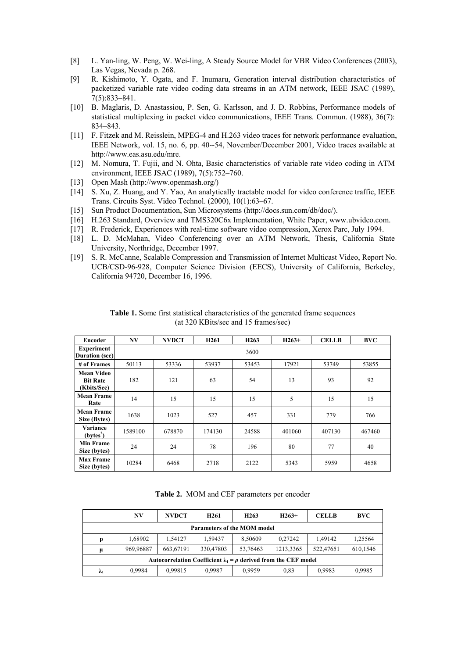- [8] L. Yan-ling, W. Peng, W. Wei-ling, A Steady Source Model for VBR Video Conferences (2003), Las Vegas, Nevada p. 268.
- [9] R. Kishimoto, Y. Ogata, and F. Inumaru, Generation interval distribution characteristics of packetized variable rate video coding data streams in an ATM network, IEEE JSAC (1989), 7(5):833–841.
- [10] B. Maglaris, D. Anastassiou, P. Sen, G. Karlsson, and J. D. Robbins, Performance models of statistical multiplexing in packet video communications, IEEE Trans. Commun. (1988), 36(7): 834–843.
- [11] F. Fitzek and M. Reisslein, MPEG-4 and H.263 video traces for network performance evaluation, IEEE Network, vol. 15, no. 6, pp. 40--54, November/December 2001, Video traces available at http://www.eas.asu.edu/mre.
- [12] M. Nomura, T. Fujii, and N. Ohta, Basic characteristics of variable rate video coding in ATM environment, IEEE JSAC (1989), 7(5):752–760.
- [13] Open Mash (http://www.openmash.org/)
- [14] S. Xu, Z. Huang, and Y. Yao, An analytically tractable model for video conference traffic, IEEE Trans. Circuits Syst. Video Technol. (2000), 10(1):63–67.
- [15] Sun Product Documentation, Sun Microsystems (http://docs.sun.com/db/doc/).
- [16] H.263 Standard, Overview and TMS320C6x Implementation, White Paper, www.ubvideo.com.
- [17] R. Frederick, Experiences with real-time software video compression, Xerox Parc, July 1994.
- [18] L. D. McMahan, Video Conferencing over an ATM Network, Thesis, California State University, Northridge, December 1997.
- [19] S. R. McCanne, Scalable Compression and Transmission of Internet Multicast Video, Report No. UCB/CSD-96-928, Computer Science Division (EECS), University of California, Berkeley, California 94720, December 16, 1996.

| Encoder                                      | N V     | <b>NVDCT</b> | H <sub>261</sub> | H <sub>263</sub> | $H263+$ | <b>CELLB</b> | <b>BVC</b> |
|----------------------------------------------|---------|--------------|------------------|------------------|---------|--------------|------------|
| <b>Experiment</b><br><b>Duration</b> (sec)   |         |              |                  | 3600             |         |              |            |
| # of Frames                                  | 50113   | 53336        | 53937            | 53453            | 17921   | 53749        | 53855      |
| Mean Video<br><b>Bit Rate</b><br>(Kbits/Sec) | 182     | 121          | 63               | 54               | 13      | 93           | 92         |
| <b>Mean Frame</b><br>Rate                    | 14      | 15           | 15               | 15               | 5       | 15           | 15         |
| <b>Mean Frame</b><br>Size (Bytes)            | 1638    | 1023         | 527              | 457              | 331     | 779          | 766        |
| Variance<br>$(bytes^2)$                      | 1589100 | 678870       | 174130           | 24588            | 401060  | 407130       | 467460     |
| <b>Min Frame</b><br>Size (bytes)             | 24      | 24           | 78               | 196              | 80      | 77           | 40         |
| <b>Max Frame</b><br>Size (bytes)             | 10284   | 6468         | 2718             | 2122             | 5343    | 5959         | 4658       |

**Table 1.** Some first statistical characteristics of the generated frame sequences (at 320 KBits/sec and 15 frames/sec)

**Table 2.** MOM and CEF parameters per encoder

|                                                                           | $N\!V$    | <b>NVDCT</b> | H <sub>261</sub> | H <sub>263</sub> | $H263+$   | <b>CELLB</b> | <b>BVC</b> |
|---------------------------------------------------------------------------|-----------|--------------|------------------|------------------|-----------|--------------|------------|
| Parameters of the MOM model                                               |           |              |                  |                  |           |              |            |
| р                                                                         | 1,68902   | 1.54127      | 1.59437          | 8,50609          | 0.27242   | 1,49142      | 1,25564    |
| μ                                                                         | 969,96887 | 663,67191    | 330.47803        | 53,76463         | 1213.3365 | 522,47651    | 610,1546   |
| Autocorrelation Coefficient $\lambda_1 = \rho$ derived from the CEF model |           |              |                  |                  |           |              |            |
| $\mathcal{N}_1$                                                           | 0,9984    | 0,99815      | 0.9987           | 0,9959           | 0.83      | 0,9983       | 0,9985     |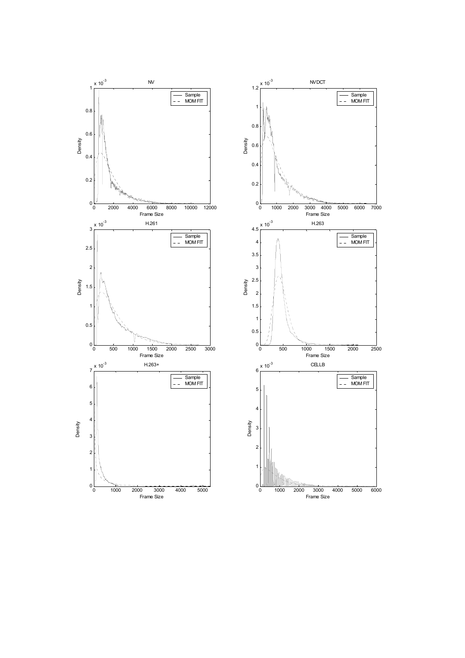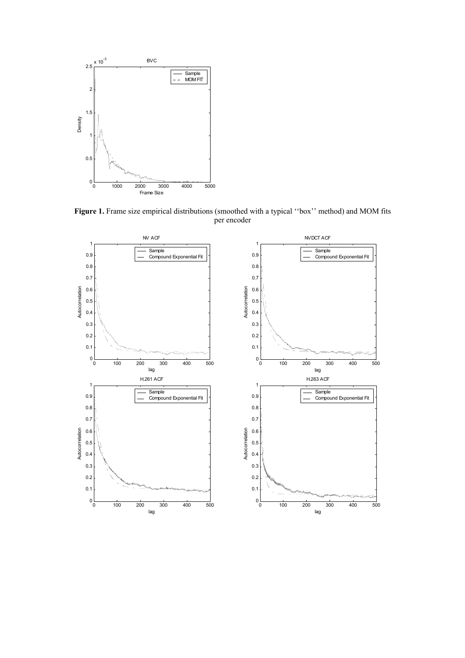

Figure 1. Frame size empirical distributions (smoothed with a typical "box" method) and MOM fits per encoder

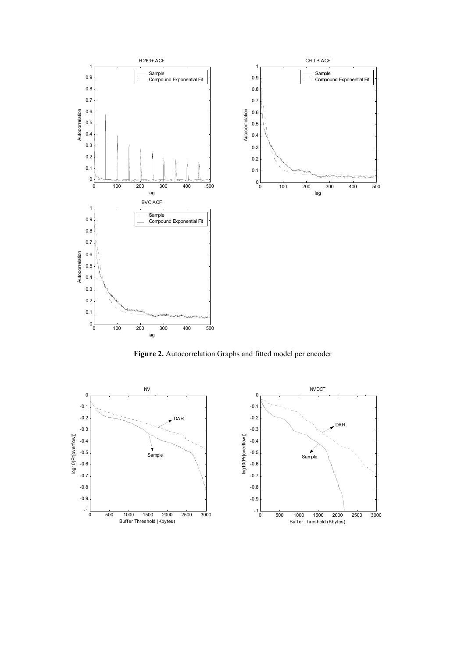

**Figure 2.** Autocorrelation Graphs and fitted model per encoder